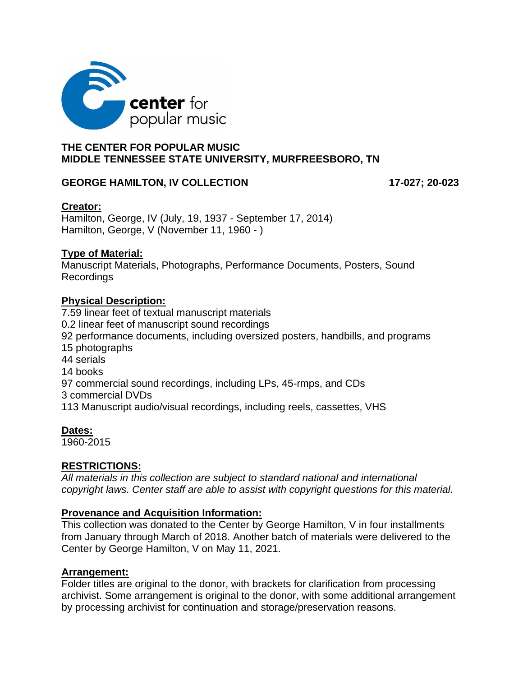

## **THE CENTER FOR POPULAR MUSIC MIDDLE TENNESSEE STATE UNIVERSITY, MURFREESBORO, TN**

### GEORGE HAMILTON, IV COLLECTION **17-027; 20-023**

## **Creator:**

Hamilton, George, IV (July, 19, 1937 - September 17, 2014) Hamilton, George, V (November 11, 1960 - )

## **Type of Material:**

Manuscript Materials, Photographs, Performance Documents, Posters, Sound Recordings

## **Physical Description:**

7.59 linear feet of textual manuscript materials 0.2 linear feet of manuscript sound recordings 92 performance documents, including oversized posters, handbills, and programs 15 photographs 44 serials 14 books 97 commercial sound recordings, including LPs, 45-rmps, and CDs 3 commercial DVDs 113 Manuscript audio/visual recordings, including reels, cassettes, VHS

# **Dates:**

1960-2015

# **RESTRICTIONS:**

*All materials in this collection are subject to standard national and international copyright laws. Center staff are able to assist with copyright questions for this material.* 

### **Provenance and Acquisition Information:**

This collection was donated to the Center by George Hamilton, V in four installments from January through March of 2018. Another batch of materials were delivered to the Center by George Hamilton, V on May 11, 2021.

### **Arrangement:**

Folder titles are original to the donor, with brackets for clarification from processing archivist. Some arrangement is original to the donor, with some additional arrangement by processing archivist for continuation and storage/preservation reasons.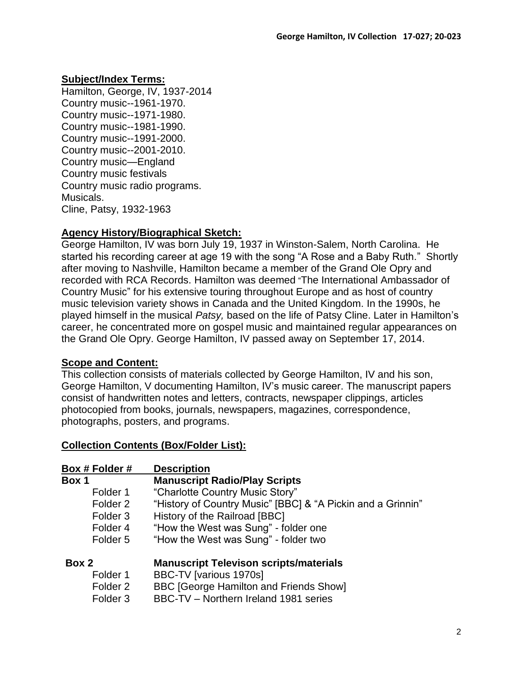# **Subject/Index Terms:**

Hamilton, George, IV, 1937-2014 Country music--1961-1970. Country music--1971-1980. Country music--1981-1990. Country music--1991-2000. Country music--2001-2010. Country music—England Country music festivals Country music radio programs. Musicals. Cline, Patsy, 1932-1963

## **Agency History/Biographical Sketch:**

George Hamilton, IV was born July 19, 1937 in Winston-Salem, North Carolina. He started his recording career at age 19 with the song "A Rose and a Baby Ruth." Shortly after moving to Nashville, Hamilton became a member of the Grand Ole Opry and recorded with RCA Records. Hamilton was deemed "The International Ambassador of Country Music" for his extensive touring throughout Europe and as host of country music television variety shows in Canada and the United Kingdom. In the 1990s, he played himself in the musical *Patsy,* based on the life of Patsy Cline. Later in Hamilton's career, he concentrated more on gospel music and maintained regular appearances on the Grand Ole Opry. George Hamilton, IV passed away on September 17, 2014.

# **Scope and Content:**

This collection consists of materials collected by George Hamilton, IV and his son, George Hamilton, V documenting Hamilton, IV's music career. The manuscript papers consist of handwritten notes and letters, contracts, newspaper clippings, articles photocopied from books, journals, newspapers, magazines, correspondence, photographs, posters, and programs.

### **Collection Contents (Box/Folder List):**

| Box # Folder #      | <b>Description</b>                                          |
|---------------------|-------------------------------------------------------------|
| Box 1               | <b>Manuscript Radio/Play Scripts</b>                        |
| Folder 1            | "Charlotte Country Music Story"                             |
| Folder 2            | "History of Country Music" [BBC] & "A Pickin and a Grinnin" |
| Folder <sub>3</sub> | History of the Railroad [BBC]                               |
| Folder 4            | "How the West was Sung" - folder one                        |
| Folder 5            | "How the West was Sung" - folder two                        |
| Box 2               | <b>Manuscript Televison scripts/materials</b>               |
| Folder 1            | BBC-TV [various 1970s]                                      |
| Folder 2            | <b>BBC [George Hamilton and Friends Show]</b>               |
| Folder <sub>3</sub> | BBC-TV - Northern Ireland 1981 series                       |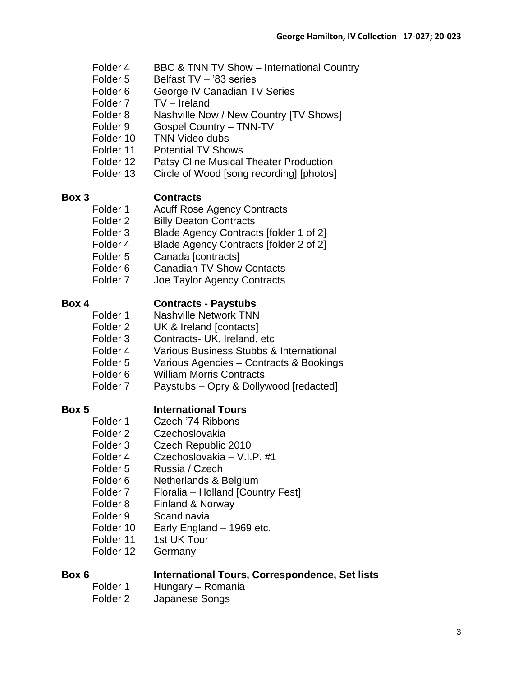- Folder 4 BBC & TNN TV Show International Country
- Folder 5 Belfast TV '83 series
- Folder 6 George IV Canadian TV Series
- Folder 7 TV Ireland
- Folder 8 Nashville Now / New Country [TV Shows]
- Folder 9 Gospel Country TNN-TV
- Folder 10 TNN Video dubs
- Folder 11 Potential TV Shows
- Folder 12 Patsy Cline Musical Theater Production
- Folder 13 Circle of Wood [song recording] [photos]

# **Box 3 Contracts**

- Folder 1 Acuff Rose Agency Contracts
- Folder 2 Billy Deaton Contracts
- Folder 3 Blade Agency Contracts [folder 1 of 2]
- Folder 4 Blade Agency Contracts [folder 2 of 2]
- Folder 5 Canada [contracts]
- Folder 6 Canadian TV Show Contacts
- Folder 7 Joe Taylor Agency Contracts

# **Box 4 Contracts - Paystubs**

- Folder 1 Nashville Network TNN
- Folder 2 UK & Ireland [contacts]
- Folder 3 Contracts- UK, Ireland, etc
- Folder 4 Various Business Stubbs & International
- Folder 5 Various Agencies Contracts & Bookings
- Folder 6 William Morris Contracts
- Folder 7 Paystubs Opry & Dollywood [redacted]

# **Box 5 International Tours**

- Folder 1 Czech '74 Ribbons
- Folder 2 Czechoslovakia
- Folder 3 Czech Republic 2010
- Folder 4 Czechoslovakia V.I.P. #1
- Folder 5 Russia / Czech
- Folder 6 Netherlands & Belgium
- Folder 7 Floralia Holland [Country Fest]
- Folder 8 Finland & Norway
- Folder 9 Scandinavia
- Folder 10 Early England 1969 etc.
- Folder 11 1st UK Tour
- Folder 12 Germany

- **Box 6 International Tours, Correspondence, Set lists**
	- Folder 1 Hungary Romania
	- Folder 2 Japanese Songs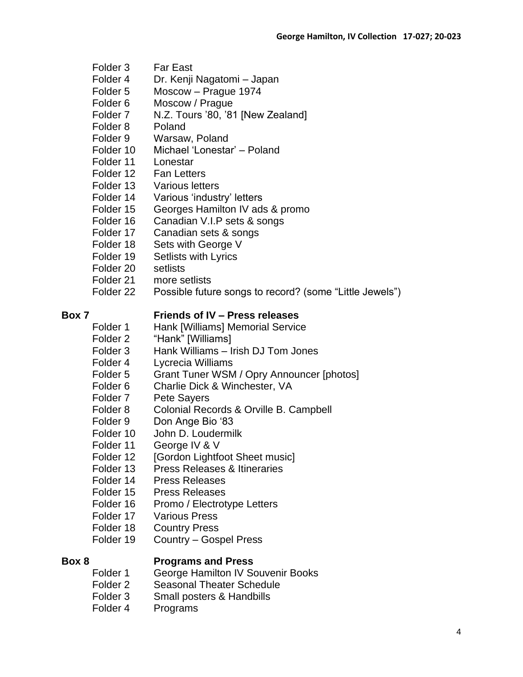- Folder 3 Far East
- Folder 4 Dr. Kenji Nagatomi Japan
- Folder 5 Moscow Prague 1974
- Folder 6 Moscow / Prague
- Folder 7 N.Z. Tours '80, '81 [New Zealand]
- Folder 8 Poland
- Folder 9 Warsaw, Poland
- Folder 10 Michael 'Lonestar' Poland
- Folder 11 Lonestar
- Folder 12 Fan Letters
- Folder 13 Various letters
- Folder 14 Various 'industry' letters
- Folder 15 Georges Hamilton IV ads & promo
- Folder 16 Canadian V.I.P sets & songs
- Folder 17 Canadian sets & songs
- Folder 18 Sets with George V
- Folder 19 Setlists with Lyrics
- Folder 20 setlists
- Folder 21 more setlists
- Folder 22 Possible future songs to record? (some "Little Jewels")

## **Box 7 Friends of IV – Press releases**

- Folder 1 Hank [Williams] Memorial Service
- Folder 2 "Hank" [Williams]
- Folder 3 Hank Williams Irish DJ Tom Jones
- Folder 4 Lycrecia Williams
- Folder 5 Grant Tuner WSM / Opry Announcer [photos]
- Folder 6 Charlie Dick & Winchester, VA
- Folder 7 Pete Sayers
- Folder 8 Colonial Records & Orville B. Campbell
- Folder 9 Don Ange Bio '83
- Folder 10 John D. Loudermilk
- Folder 11 George IV & V
- Folder 12 [Gordon Lightfoot Sheet music]
- Folder 13 Press Releases & Itineraries
- Folder 14 Press Releases
- Folder 15 Press Releases
- Folder 16 Promo / Electrotype Letters
- Folder 17 Various Press
- Folder 18 Country Press
- Folder 19 Country Gospel Press

### **Box 8 Programs and Press**

- Folder 1 George Hamilton IV Souvenir Books
- Folder 2 Seasonal Theater Schedule
- Folder 3 Small posters & Handbills
- Folder 4 Programs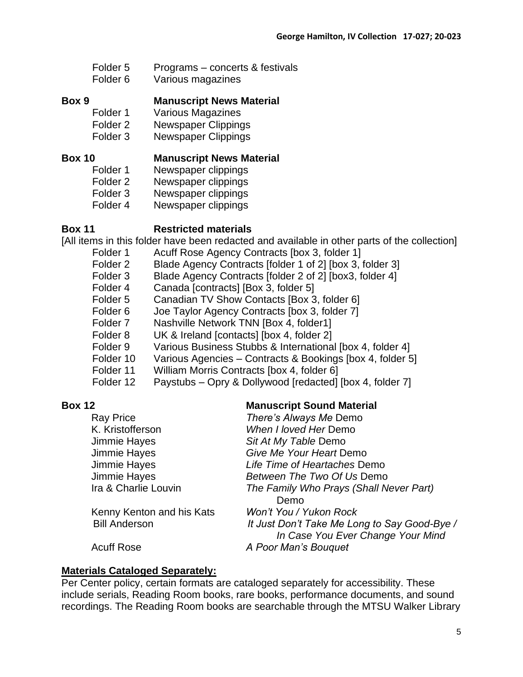| Folder <sub>5</sub> | Programs – concerts & festivals |
|---------------------|---------------------------------|
|                     |                                 |

Folder 6 Various magazines

### **Box 9 Manuscript News Material**

Folder 1 Various Magazines

Folder 2 Newspaper Clippings

Folder 3 Newspaper Clippings

### **Box 10 Manuscript News Material**

- Folder 1 Newspaper clippings
- Folder 2 Newspaper clippings
- Folder 3 Newspaper clippings
- Folder 4 Newspaper clippings

## **Box 11 Restricted materials**

[All items in this folder have been redacted and available in other parts of the collection]

- Folder 1 Acuff Rose Agency Contracts [box 3, folder 1]
- Folder 2 Blade Agency Contracts [folder 1 of 2] [box 3, folder 3]
- Folder 3 Blade Agency Contracts [folder 2 of 2] [box3, folder 4]
- Folder 4 Canada [contracts] [Box 3, folder 5]
- Folder 5 Canadian TV Show Contacts [Box 3, folder 6]
- Folder 6 Joe Taylor Agency Contracts [box 3, folder 7]
- Folder 7 Nashville Network TNN [Box 4, folder1]
- Folder 8 UK & Ireland [contacts] [box 4, folder 2]
- Folder 9 Various Business Stubbs & International [box 4, folder 4]
- Folder 10 Various Agencies Contracts & Bookings [box 4, folder 5]
- Folder 11 William Morris Contracts [box 4, folder 6]
- Folder 12 Paystubs Opry & Dollywood [redacted] [box 4, folder 7]

# **Box 12 Manuscript Sound Material**

| <b>Ray Price</b>          | There's Always Me Demo                       |
|---------------------------|----------------------------------------------|
| K. Kristofferson          | When I loved Her Demo                        |
| Jimmie Hayes              | Sit At My Table Demo                         |
| Jimmie Hayes              | Give Me Your Heart Demo                      |
| Jimmie Hayes              | Life Time of Heartaches Demo                 |
| Jimmie Hayes              | Between The Two Of Us Demo                   |
| Ira & Charlie Louvin      | The Family Who Prays (Shall Never Part)      |
|                           | Demo                                         |
| Kenny Kenton and his Kats | Won't You / Yukon Rock                       |
| <b>Bill Anderson</b>      | It Just Don't Take Me Long to Say Good-Bye / |
|                           | In Case You Ever Change Your Mind            |
| <b>Acuff Rose</b>         | A Poor Man's Bouquet                         |

# **Materials Cataloged Separately:**

Per Center policy, certain formats are cataloged separately for accessibility. These include serials, Reading Room books, rare books, performance documents, and sound recordings. The Reading Room books are searchable through the MTSU Walker Library